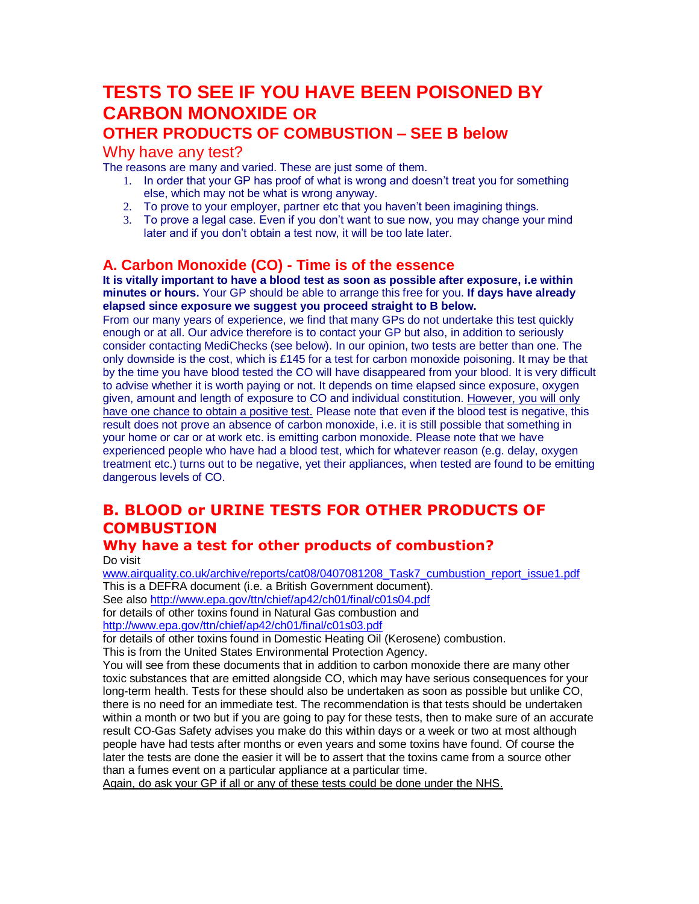# **TESTS TO SEE IF YOU HAVE BEEN POISONED BY CARBON MONOXIDE OR**

# **OTHER PRODUCTS OF COMBUSTION – SEE B below**

### Why have any test?

The reasons are many and varied. These are just some of them.

- 1. In order that your GP has proof of what is wrong and doesn't treat you for something else, which may not be what is wrong anyway.
- 2. To prove to your employer, partner etc that you haven't been imagining things.
- 3. To prove a legal case. Even if you don't want to sue now, you may change your mind later and if you don't obtain a test now, it will be too late later.

## **A. Carbon Monoxide (CO) - Time is of the essence**

**It is vitally important to have a blood test as soon as possible after exposure, i.e within minutes or hours.** Your GP should be able to arrange this free for you. **If days have already elapsed since exposure we suggest you proceed straight to B below.**

From our many years of experience, we find that many GPs do not undertake this test quickly enough or at all. Our advice therefore is to contact your GP but also, in addition to seriously consider contacting MediChecks (see below). In our opinion, two tests are better than one. The only downside is the cost, which is £145 for a test for carbon monoxide poisoning. It may be that by the time you have blood tested the CO will have disappeared from your blood. It is very difficult to advise whether it is worth paying or not. It depends on time elapsed since exposure, oxygen given, amount and length of exposure to CO and individual constitution. However, you will only have one chance to obtain a positive test. Please note that even if the blood test is negative, this result does not prove an absence of carbon monoxide, i.e. it is still possible that something in your home or car or at work etc. is emitting carbon monoxide. Please note that we have experienced people who have had a blood test, which for whatever reason (e.g. delay, oxygen treatment etc.) turns out to be negative, yet their appliances, when tested are found to be emitting dangerous levels of CO.

# **B. BLOOD or URINE TESTS FOR OTHER PRODUCTS OF COMBUSTION**

#### **Why have a test for other products of combustion?** Do visit

[www.airquality.co.uk/archive/reports/cat08/0407081208\\_Task7\\_cumbustion\\_report\\_issue1.pdf](http://www.airquality.co.uk/archive/reports/cat08/0407081208_Task7_cumbustion_report_issue1.pdf) This is a DEFRA document (i.e. a British Government document). See also<http://www.epa.gov/ttn/chief/ap42/ch01/final/c01s04.pdf> for details of other toxins found in Natural Gas combustion and <http://www.epa.gov/ttn/chief/ap42/ch01/final/c01s03.pdf>

for details of other toxins found in Domestic Heating Oil (Kerosene) combustion. This is from the United States Environmental Protection Agency.

You will see from these documents that in addition to carbon monoxide there are many other toxic substances that are emitted alongside CO, which may have serious consequences for your long-term health. Tests for these should also be undertaken as soon as possible but unlike CO, there is no need for an immediate test. The recommendation is that tests should be undertaken within a month or two but if you are going to pay for these tests, then to make sure of an accurate result CO-Gas Safety advises you make do this within days or a week or two at most although people have had tests after months or even years and some toxins have found. Of course the later the tests are done the easier it will be to assert that the toxins came from a source other than a fumes event on a particular appliance at a particular time.

Again, do ask your GP if all or any of these tests could be done under the NHS.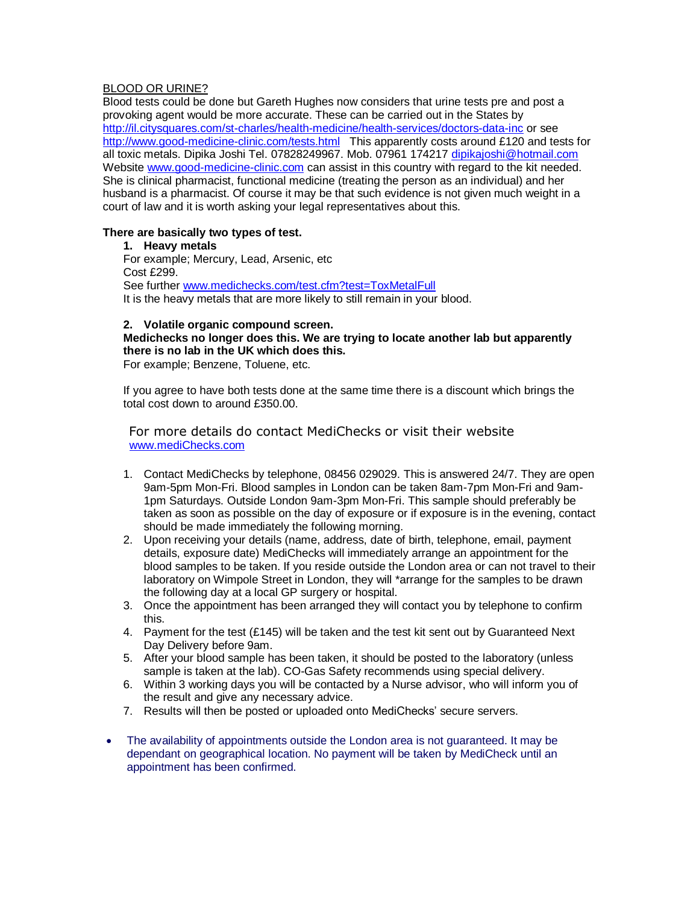#### BLOOD OR URINE?

Blood tests could be done but Gareth Hughes now considers that urine tests pre and post a provoking agent would be more accurate. These can be carried out in the States by <http://il.citysquares.com/st-charles/health-medicine/health-services/doctors-data-inc> or see <http://www.good-medicine-clinic.com/tests.html> This apparently costs around £120 and tests for all toxic metals. Dipika Joshi Tel. 07828249967. Mob. 07961 174217 [dipikajoshi@hotmail.com](mailto:dipikajoshi@hotmail.com) Website [www.good-medicine-clinic.com](http://www.good-medicine-clinic.com/) can assist in this country with regard to the kit needed. She is clinical pharmacist, functional medicine (treating the person as an individual) and her husband is a pharmacist. Of course it may be that such evidence is not given much weight in a court of law and it is worth asking your legal representatives about this.

#### **There are basically two types of test.**

#### **1. Heavy metals**

For example; Mercury, Lead, Arsenic, etc Cost £299. See further [www.medichecks.com/test.cfm?test=ToxMetalFull](http://www.medichecks.com/test.cfm?test=ToxMetalFull) It is the heavy metals that are more likely to still remain in your blood.

#### **2. Volatile organic compound screen.**

### **Medichecks no longer does this. We are trying to locate another lab but apparently there is no lab in the UK which does this.**

For example; Benzene, Toluene, etc.

If you agree to have both tests done at the same time there is a discount which brings the total cost down to around £350.00.

 For more details do contact MediChecks or visit their website [www.mediChecks.com](http://www.medichecks.com/)

- 1. Contact MediChecks by telephone, 08456 029029. This is answered 24/7. They are open 9am-5pm Mon-Fri. Blood samples in London can be taken 8am-7pm Mon-Fri and 9am-1pm Saturdays. Outside London 9am-3pm Mon-Fri. This sample should preferably be taken as soon as possible on the day of exposure or if exposure is in the evening, contact should be made immediately the following morning.
- 2. Upon receiving your details (name, address, date of birth, telephone, email, payment details, exposure date) MediChecks will immediately arrange an appointment for the blood samples to be taken. If you reside outside the London area or can not travel to their laboratory on Wimpole Street in London, they will \*arrange for the samples to be drawn the following day at a local GP surgery or hospital.
- 3. Once the appointment has been arranged they will contact you by telephone to confirm this.
- 4. Payment for the test  $(E145)$  will be taken and the test kit sent out by Guaranteed Next Day Delivery before 9am.
- 5. After your blood sample has been taken, it should be posted to the laboratory (unless sample is taken at the lab). CO-Gas Safety recommends using special delivery.
- 6. Within 3 working days you will be contacted by a Nurse advisor, who will inform you of the result and give any necessary advice.
- 7. Results will then be posted or uploaded onto MediChecks' secure servers.
- The availability of appointments outside the London area is not guaranteed. It may be dependant on geographical location. No payment will be taken by MediCheck until an appointment has been confirmed.